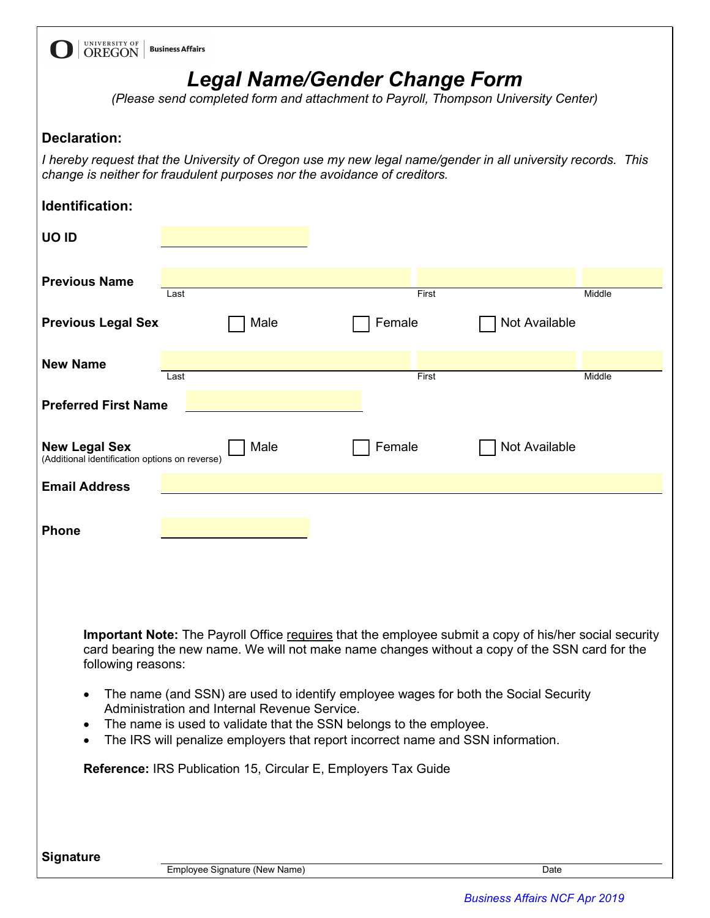